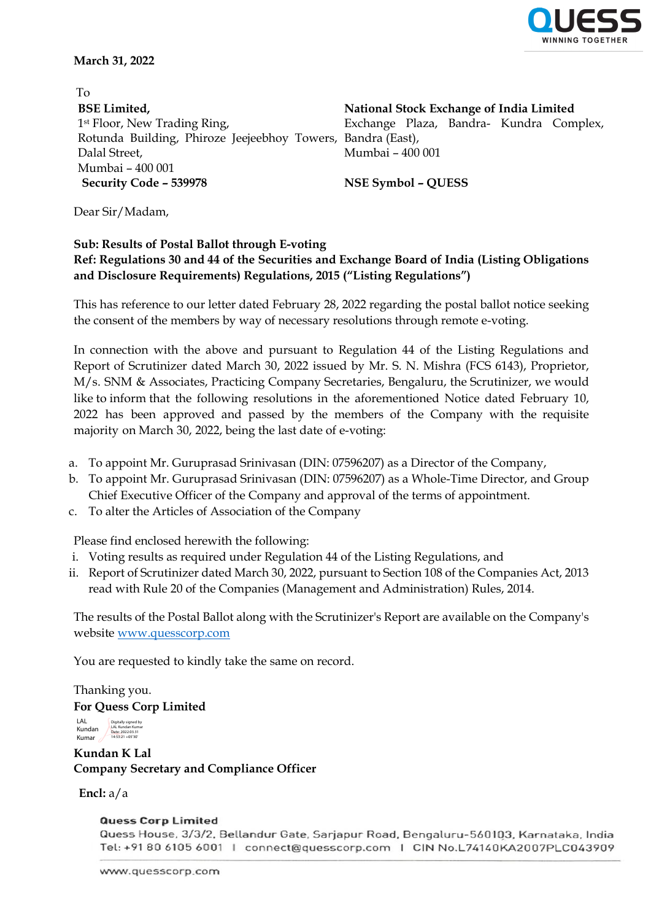

**March 31, 2022** 

 To **BSE Limited,** 1st Floor, New Trading Ring, Rotunda Building, Phiroze Jeejeebhoy Towers, Bandra (East), Dalal Street, Mumbai – 400 001 **Security Code – 539978 NSE Symbol – QUESS**

**National Stock Exchange of India Limited** Exchange Plaza, Bandra- Kundra Complex, Mumbai – 400 001

Dear Sir/Madam,

## **Sub: Results of Postal Ballot through E-voting Ref: Regulations 30 and 44 of the Securities and Exchange Board of India (Listing Obligations and Disclosure Requirements) Regulations, 2015 ("Listing Regulations")**

This has reference to our letter dated February 28, 2022 regarding the postal ballot notice seeking the consent of the members by way of necessary resolutions through remote e-voting.

In connection with the above and pursuant to Regulation 44 of the Listing Regulations and Report of Scrutinizer dated March 30, 2022 issued by Mr. S. N. Mishra (FCS 6143), Proprietor, M/s. SNM & Associates, Practicing Company Secretaries, Bengaluru, the Scrutinizer, we would like to inform that the following resolutions in the aforementioned Notice dated February 10, 2022 has been approved and passed by the members of the Company with the requisite majority on March 30, 2022, being the last date of e-voting:

- a. To appoint Mr. Guruprasad Srinivasan (DIN: 07596207) as a Director of the Company,
- b. To appoint Mr. Guruprasad Srinivasan (DIN: 07596207) as a Whole-Time Director, and Group Chief Executive Officer of the Company and approval of the terms of appointment.
- c. To alter the Articles of Association of the Company

Please find enclosed herewith the following:

- i. Voting results as required under Regulation 44 of the Listing Regulations, and
- ii. Report of Scrutinizer dated March 30, 2022, pursuant to Section 108 of the Companies Act, 2013 read with Rule 20 of the Companies (Management and Administration) Rules, 2014.

The results of the Postal Ballot along with the Scrutinizer's Report are available on the Company's website [www.quesscorp.com](http://www.quesscorp.com/) 

You are requested to kindly take the same on record.

Thanking you. **For Quess Corp Limited**

LAL<br>Kundan<br>Kumar Digitally signed by LAL Kundan Kumar Date: 2022.03.31 14:53:21 +05'30'

**Kundan K Lal Company Secretary and Compliance Officer**

**Encl:** a/a

**Quess Corp Limited** 

Quess House, 3/3/2, Bellandur Gate, Sarjapur Road, Bengaluru-560103, Karnataka, India Tel: +91 80 6105 6001 | connect@quesscorp.com | CIN No.L74140KA2007PLC043909

www.quesscorp.com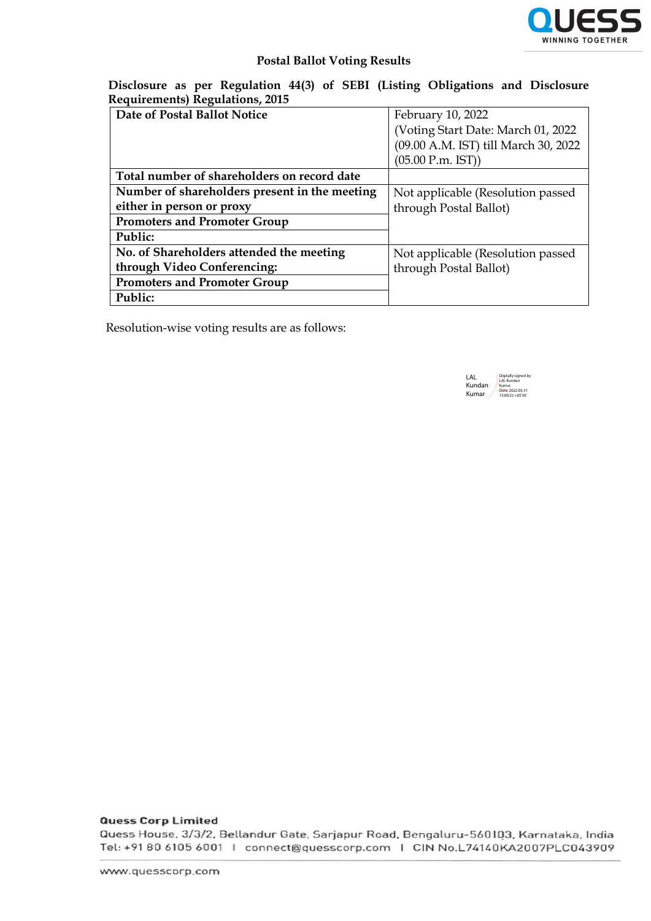

## **Postal Ballot Voting Results**

**Disclosure as per Regulation 44(3) of SEBI (Listing Obligations and Disclosure Requirements) Regulations, 2015**

| Date of Postal Ballot Notice                  | February 10, 2022                    |
|-----------------------------------------------|--------------------------------------|
|                                               | (Voting Start Date: March 01, 2022)  |
|                                               | (09.00 A.M. IST) till March 30, 2022 |
|                                               | $(05.00$ P.m. IST $))$               |
| Total number of shareholders on record date   |                                      |
| Number of shareholders present in the meeting | Not applicable (Resolution passed)   |
| either in person or proxy                     | through Postal Ballot)               |
| <b>Promoters and Promoter Group</b>           |                                      |
| Public:                                       |                                      |
| No. of Shareholders attended the meeting      | Not applicable (Resolution passed    |
| through Video Conferencing:                   | through Postal Ballot)               |
| <b>Promoters and Promoter Group</b>           |                                      |
| Public:                                       |                                      |

Resolution-wise voting results are as follows:

LAL Kundan Kumar Digitally signed by LAL Kundan Kumar Date: 2022.03.31 15:00:22 +05'30'

**Quess Corp Limited** 

Quess House, 3/3/2, Bellandur Gate, Sarjapur Road, Bengaluru-560103, Karnataka, India Tel: +91 80 6105 6001 | connect@quesscorp.com | CIN No.L74140KA2007PLC043909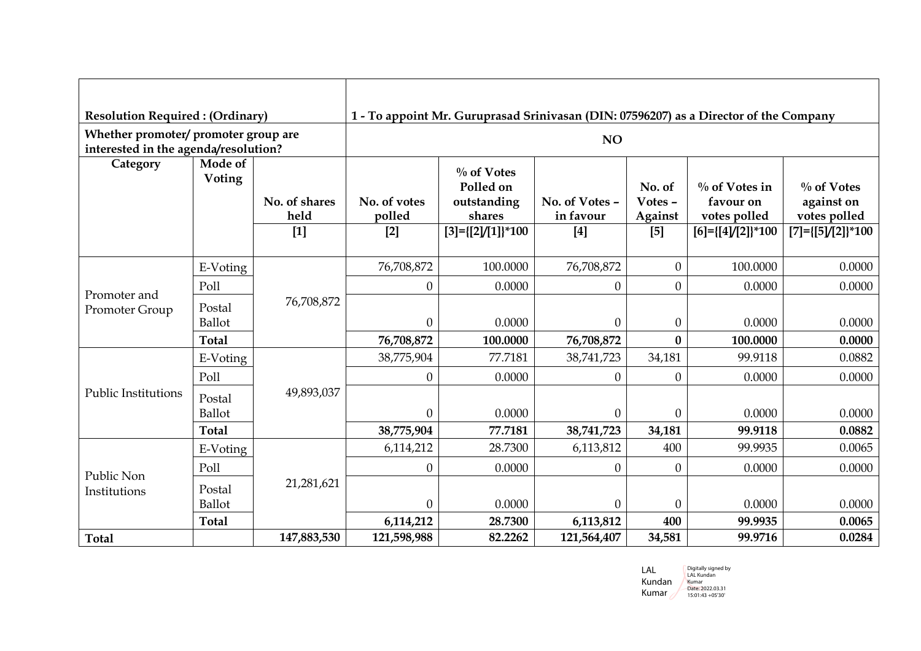| <b>Resolution Required: (Ordinary)</b> |                   |               | 1 - To appoint Mr. Guruprasad Srinivasan (DIN: 07596207) as a Director of the Company |                              |                    |                  |                                            |                                            |  |
|----------------------------------------|-------------------|---------------|---------------------------------------------------------------------------------------|------------------------------|--------------------|------------------|--------------------------------------------|--------------------------------------------|--|
| Whether promoter/ promoter group are   |                   |               |                                                                                       |                              | NO                 |                  |                                            |                                            |  |
| interested in the agenda/resolution?   |                   |               |                                                                                       |                              |                    |                  |                                            |                                            |  |
| Category                               | Mode of<br>Voting |               |                                                                                       | $\%$ of Votes                |                    |                  |                                            |                                            |  |
|                                        |                   |               |                                                                                       | Polled on                    |                    | No. of           | $\%$ of Votes in                           | $\%$ of Votes                              |  |
|                                        |                   | No. of shares | No. of votes                                                                          | outstanding                  | No. of Votes -     | Votes -          | favour on                                  | against on                                 |  |
|                                        |                   | held<br>$[1]$ | polled<br>$[2]$                                                                       | shares<br>$[3]=[2]/[1]]*100$ | in favour<br>$[4]$ | Against<br>$[5]$ | votes polled<br>$[6] = \{ [4]/[2] \}$ *100 | votes polled<br>$[7] = \{ [5]/[2] \}$ *100 |  |
|                                        |                   |               |                                                                                       |                              |                    |                  |                                            |                                            |  |
|                                        | E-Voting          |               | 76,708,872                                                                            | 100.0000                     | 76,708,872         | $\overline{0}$   | 100.0000                                   | 0.0000                                     |  |
|                                        | Poll              | 76,708,872    | $\theta$                                                                              | 0.0000                       | $\boldsymbol{0}$   | $\overline{0}$   | 0.0000                                     | 0.0000                                     |  |
| Promoter and                           | Postal            |               |                                                                                       |                              |                    |                  |                                            |                                            |  |
| Promoter Group                         | <b>Ballot</b>     |               | $\mathbf{0}$                                                                          | 0.0000                       | $\boldsymbol{0}$   | $\boldsymbol{0}$ | 0.0000                                     | 0.0000                                     |  |
|                                        | <b>Total</b>      |               | 76,708,872                                                                            | 100.0000                     | 76,708,872         | $\bf{0}$         | 100.0000                                   | 0.0000                                     |  |
|                                        | E-Voting          |               | 38,775,904                                                                            | 77.7181                      | 38,741,723         | 34,181           | 99.9118                                    | 0.0882                                     |  |
|                                        | Poll              |               | $\theta$                                                                              | 0.0000                       | $\Omega$           | $\overline{0}$   | 0.0000                                     | 0.0000                                     |  |
| <b>Public Institutions</b>             | Postal            | 49,893,037    |                                                                                       |                              |                    |                  |                                            |                                            |  |
|                                        | Ballot            |               | $\theta$                                                                              | 0.0000                       | $\boldsymbol{0}$   | $\overline{0}$   | 0.0000                                     | 0.0000                                     |  |
|                                        | <b>Total</b>      |               | 38,775,904                                                                            | 77.7181                      | 38,741,723         | 34,181           | 99.9118                                    | 0.0882                                     |  |
|                                        | E-Voting          |               | 6,114,212                                                                             | 28.7300                      | 6,113,812          | 400              | 99.9935                                    | 0.0065                                     |  |
| Public Non<br>Institutions             | Poll              |               | $\boldsymbol{0}$                                                                      | 0.0000                       | $\boldsymbol{0}$   | $\boldsymbol{0}$ | 0.0000                                     | 0.0000                                     |  |
|                                        | Postal            | 21,281,621    |                                                                                       |                              |                    |                  |                                            |                                            |  |
|                                        | <b>Ballot</b>     |               | $\mathbf{0}$                                                                          | 0.0000                       | $\boldsymbol{0}$   | $\boldsymbol{0}$ | 0.0000                                     | 0.0000                                     |  |
|                                        | <b>Total</b>      |               | 6,114,212                                                                             | 28.7300                      | 6,113,812          | 400              | 99.9935                                    | 0.0065                                     |  |
| <b>Total</b>                           |                   | 147,883,530   | 121,598,988                                                                           | 82.2262                      | 121,564,407        | 34,581           | 99.9716                                    | 0.0284                                     |  |

| I AI.  | Digitally signed by |
|--------|---------------------|
|        | I Al Kundan         |
| Kundan | Kumar               |
| Kumar  | Date: 2022.03.31    |
|        | 15:01:43 +05'30'    |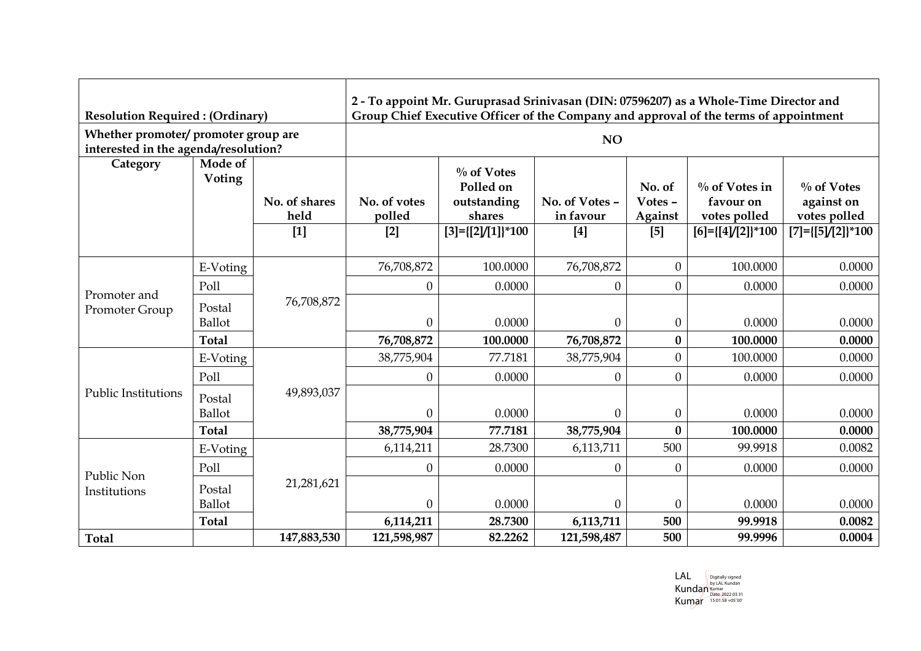| <b>Resolution Required: (Ordinary)</b>                                       |                   |                       |                        | 2 - To appoint Mr. Guruprasad Srinivasan (DIN: 07596207) as a Whole-Time Director and              |                             |                              |                                               |                                             |  |
|------------------------------------------------------------------------------|-------------------|-----------------------|------------------------|----------------------------------------------------------------------------------------------------|-----------------------------|------------------------------|-----------------------------------------------|---------------------------------------------|--|
| Whether promoter/ promoter group are<br>interested in the agenda/resolution? |                   |                       |                        | Group Chief Executive Officer of the Company and approval of the terms of appointment<br><b>NO</b> |                             |                              |                                               |                                             |  |
| Category                                                                     | Mode of<br>Voting | No. of shares<br>held | No. of votes<br>polled | $\%$ of Votes<br>Polled on<br>outstanding<br>shares                                                | No. of Votes -<br>in favour | No. of<br>Votes -<br>Against | $\%$ of Votes in<br>favour on<br>votes polled | $\%$ of Votes<br>against on<br>votes polled |  |
|                                                                              |                   | $[1]$                 | $[2]$                  | $[3] = \{ [2]/[1] \}$ *100                                                                         | $[4]$                       | $[5]$                        | $[6] = [{4} / [2]$ <sup>*</sup> 100           | $[7] = \{ [5]/[2] \}$ *100                  |  |
|                                                                              | E-Voting          |                       | 76,708,872             | 100.0000                                                                                           | 76,708,872                  | $\overline{0}$               | 100.0000                                      | 0.0000                                      |  |
| Promoter and                                                                 | Poll              |                       | $\theta$               | 0.0000                                                                                             | $\boldsymbol{0}$            | $\overline{0}$               | 0.0000                                        | 0.0000                                      |  |
| Promoter Group                                                               | Postal            | 76,708,872            |                        |                                                                                                    |                             |                              |                                               |                                             |  |
|                                                                              | <b>Ballot</b>     |                       | $\mathbf{0}$           | 0.0000                                                                                             | $\boldsymbol{0}$            | $\boldsymbol{0}$             | 0.0000                                        | 0.0000                                      |  |
|                                                                              | <b>Total</b>      |                       | 76,708,872             | 100.0000                                                                                           | 76,708,872                  | $\bf{0}$                     | 100.0000                                      | 0.0000                                      |  |
|                                                                              | E-Voting          |                       | 38,775,904             | 77.7181                                                                                            | 38,775,904                  | $\overline{0}$               | 100.0000                                      | 0.0000                                      |  |
|                                                                              | Poll              |                       | $\theta$               | 0.0000                                                                                             | $\theta$                    | $\overline{0}$               | 0.0000                                        | 0.0000                                      |  |
| <b>Public Institutions</b>                                                   | Postal            | 49,893,037            |                        |                                                                                                    |                             |                              |                                               |                                             |  |
|                                                                              | <b>Ballot</b>     |                       | $\theta$               | 0.0000                                                                                             | $\boldsymbol{0}$            | $\boldsymbol{0}$             | 0.0000                                        | 0.0000                                      |  |
|                                                                              | <b>Total</b>      |                       | 38,775,904             | 77.7181                                                                                            | 38,775,904                  | $\bf{0}$                     | 100.0000                                      | 0.0000                                      |  |
|                                                                              | E-Voting          |                       | 6,114,211              | 28.7300                                                                                            | 6,113,711                   | 500                          | 99.9918                                       | 0.0082                                      |  |
| Public Non<br>Institutions                                                   | Poll              |                       | $\theta$               | 0.0000                                                                                             | $\boldsymbol{0}$            | $\overline{0}$               | 0.0000                                        | 0.0000                                      |  |
|                                                                              | Postal            | 21,281,621            |                        |                                                                                                    |                             |                              |                                               |                                             |  |
|                                                                              | Ballot            |                       | $\theta$               | 0.0000                                                                                             | $\boldsymbol{0}$            | $\theta$                     | 0.0000                                        | 0.0000                                      |  |
|                                                                              | <b>Total</b>      |                       | 6,114,211              | 28.7300                                                                                            | 6,113,711                   | 500                          | 99.9918                                       | 0.0082                                      |  |
| <b>Total</b>                                                                 |                   | 147,883,530           | 121,598,987            | 82.2262                                                                                            | 121,598,487                 | 500                          | 99.9996                                       | 0.0004                                      |  |

LAL Kundan Kumar Digitally signed by LAL Kundan Kumar Date: 2022.03.31 15:01:58 +05'30'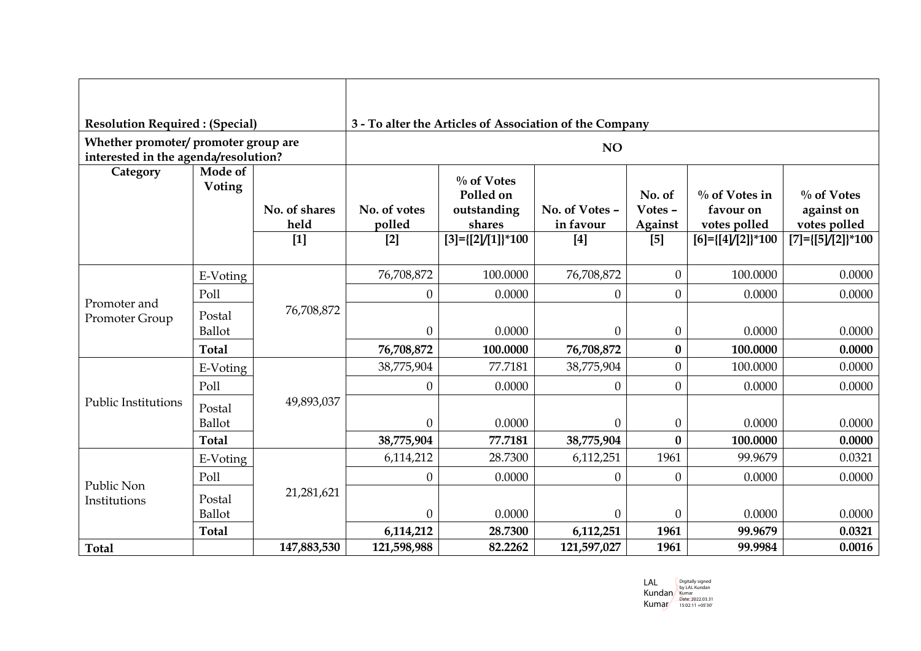|                                                                              | <b>Resolution Required: (Special)</b> |                                |                                 | 3 - To alter the Articles of Association of the Company                           |                                      |                                       |                                                                                      |                                                                           |  |  |
|------------------------------------------------------------------------------|---------------------------------------|--------------------------------|---------------------------------|-----------------------------------------------------------------------------------|--------------------------------------|---------------------------------------|--------------------------------------------------------------------------------------|---------------------------------------------------------------------------|--|--|
| Whether promoter/ promoter group are<br>interested in the agenda/resolution? |                                       |                                |                                 |                                                                                   | NO                                   |                                       |                                                                                      |                                                                           |  |  |
| Category                                                                     | Mode of<br>Voting                     | No. of shares<br>held<br>$[1]$ | No. of votes<br>polled<br>$[2]$ | $\%$ of Votes<br>Polled on<br>outstanding<br>shares<br>$[3] = \{ [2]/[1] \}$ *100 | No. of Votes -<br>in favour<br>$[4]$ | No. of<br>Votes -<br>Against<br>$[5]$ | $\%$ of Votes in<br>favour on<br>votes polled<br>$[6] = [{4} / [2]$ <sup>*</sup> 100 | $\%$ of Votes<br>against on<br>votes polled<br>$[7] = \{ [5]/[2] \}$ *100 |  |  |
|                                                                              | E-Voting                              |                                | 76,708,872                      | 100.0000                                                                          | 76,708,872                           | $\overline{0}$                        | 100.0000                                                                             | 0.0000                                                                    |  |  |
|                                                                              | Poll                                  | 76,708,872                     | $\theta$                        | 0.0000                                                                            | $\overline{0}$                       | $\overline{0}$                        | 0.0000                                                                               | 0.0000                                                                    |  |  |
| Promoter and                                                                 |                                       |                                |                                 |                                                                                   |                                      |                                       |                                                                                      |                                                                           |  |  |
| Promoter Group                                                               | Postal<br>Ballot                      |                                | $\theta$                        | 0.0000                                                                            | $\overline{0}$                       | $\overline{0}$                        | 0.0000                                                                               | 0.0000                                                                    |  |  |
|                                                                              | <b>Total</b>                          |                                | 76,708,872                      | 100.0000                                                                          | 76,708,872                           | $\mathbf{0}$                          | 100.0000                                                                             | 0.0000                                                                    |  |  |
|                                                                              | E-Voting                              |                                | 38,775,904                      | 77.7181                                                                           | 38,775,904                           | $\overline{0}$                        | 100.0000                                                                             | 0.0000                                                                    |  |  |
|                                                                              | Poll                                  |                                | $\theta$                        | 0.0000                                                                            | $\boldsymbol{0}$                     | $\overline{0}$                        | 0.0000                                                                               | 0.0000                                                                    |  |  |
| <b>Public Institutions</b>                                                   | Postal                                | 49,893,037                     |                                 |                                                                                   |                                      |                                       |                                                                                      |                                                                           |  |  |
|                                                                              | Ballot                                |                                | $\theta$                        | 0.0000                                                                            | $\boldsymbol{0}$                     | $\boldsymbol{0}$                      | 0.0000                                                                               | 0.0000                                                                    |  |  |
|                                                                              | <b>Total</b>                          |                                | 38,775,904                      | 77.7181                                                                           | 38,775,904                           | $\bf{0}$                              | 100.0000                                                                             | 0.0000                                                                    |  |  |
| Public Non<br>Institutions                                                   | E-Voting                              |                                | 6,114,212                       | 28.7300                                                                           | 6,112,251                            | 1961                                  | 99.9679                                                                              | 0.0321                                                                    |  |  |
|                                                                              | Poll                                  |                                | $\theta$                        | 0.0000                                                                            | $\theta$                             | $\overline{0}$                        | 0.0000                                                                               | 0.0000                                                                    |  |  |
|                                                                              | Postal                                | 21,281,621                     |                                 |                                                                                   |                                      |                                       |                                                                                      |                                                                           |  |  |
|                                                                              | Ballot                                |                                | $\theta$                        | 0.0000                                                                            | $\boldsymbol{0}$                     | $\boldsymbol{0}$                      | 0.0000                                                                               | 0.0000                                                                    |  |  |
|                                                                              | <b>Total</b>                          |                                | 6,114,212                       | 28.7300                                                                           | 6,112,251                            | 1961                                  | 99.9679                                                                              | 0.0321                                                                    |  |  |
| <b>Total</b>                                                                 |                                       | 147,883,530                    | 121,598,988                     | 82.2262                                                                           | 121,597,027                          | 1961                                  | 99.9984                                                                              | 0.0016                                                                    |  |  |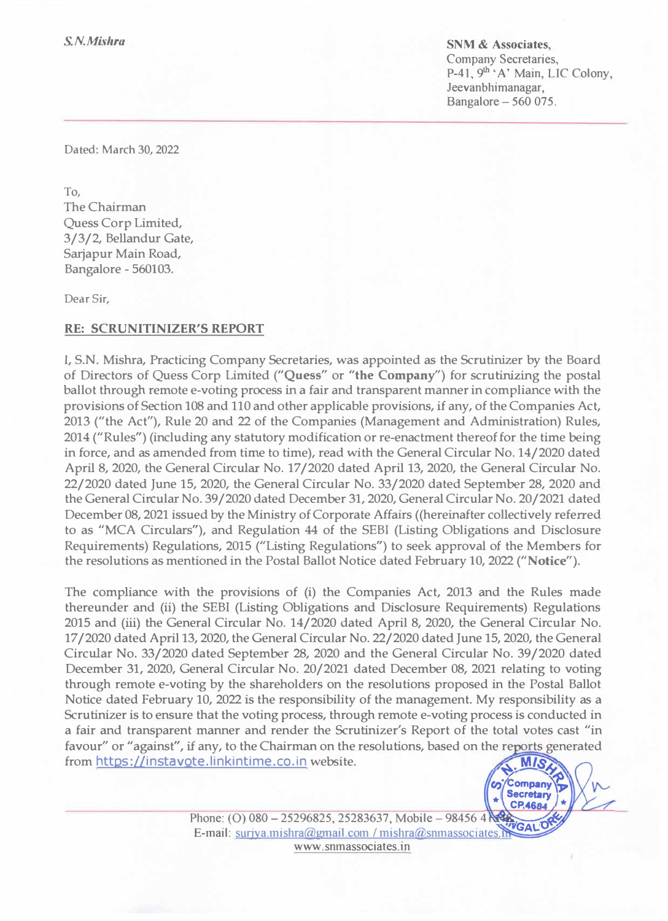**SNM** & **Associates,**  Company Secretaries, P-41, 9<sup>th</sup> 'A' Main, LIC Colony, Jeevanbhimanagar, Bangalore- 560 075.

Dated: March 30, 2022

To, The Chairman Quess Corp Limited, 3/3/2, Bellandur Gate, Sarjapur Main Road, Bangalore - 560103.

Dear Sir,

## **RE: SCRUNITINIZER'S REPORT**

I, S.N. Mishra, Practicing Company Secretaries, was appointed as the Scrutinizer by the Board of Directors of Quess Corp Limited **("Quess"** or **"the Company')** for scrutinizing the postal ballot through remote e-voting process in a fair and transparent manner in compliance with the provisions of Section 108 and 110 and other applicable provisions, if any, of the Companies Act, 2013 ("the Act''), Rule 20 and 22 of the Companies (Management and Administration) Rules, 2014 ("Rules") (including any statutory modification or re-enactment thereof for the time being in force, and as amended from time to time), read with the General Circular No. 14/2020 dated April 8, 2020, the General Circular No. 17 /2020 dated April 13, 2020, the General Circular No. 22/2020 dated June 15, 2020, the General Circular No. 33/2020 dated September 28, 2020 and the General Circular No. 39/2020 dated December 31, 2020, General Circular No. 20/2021 dated December 08, 2021 issued by the Ministry of Corporate Affairs ((hereinafter collectively referred to as "MCA Circulars"), and Regulation 44 of the SEBI (Listing Obligations and Disclosure Requirements) Regulations, 2015 ("Listing Regulations") to seek approval of the Members for the resolutions as mentioned in the Postal Ballot Notice dated February 10, 2022 **("Notice").**

The compliance with the provisions of (i) the Companies Act, 2013 and the Rules made thereunder and (ii) the SEBI (Listing Obligations and Disclosure Requirements) Regulations 2015 and (iii) the General Circular No. 14/2020 dated April 8, 2020, the General Circular No. 17 /2020 dated April 13, 2020, the General Circular No. 22/2020 dated June 15, 2020, the General Circular No. 33/2020 dated September 28, 2020 and the General Circular No. 39/2020 dated December 31, 2020, General Circular No. 20/2021 dated December 08, 2021 relating to voting through remote e-voting by the shareholders on the resolutions proposed in the Postal Ballot Notice dated February 10, 2022 is the responsibility of the management. My responsibility as a Scrutinizer is to ensure that the voting process, through remote e-voting process is conducted in a fair and transparent manner and render the Scrutinizer's Report of the total votes cast "in favour" or "against", if any, to the Chairman on the resolutions, based on the reports generated from https://instavote.linkintime.co.in website.



Phone: (O) 080 - 25296825, 25283637, Mobile - 98456 4 E-mail: surjya.mishra@gmail.com / mishra@snmassociates.MGAL www .snmassociates.in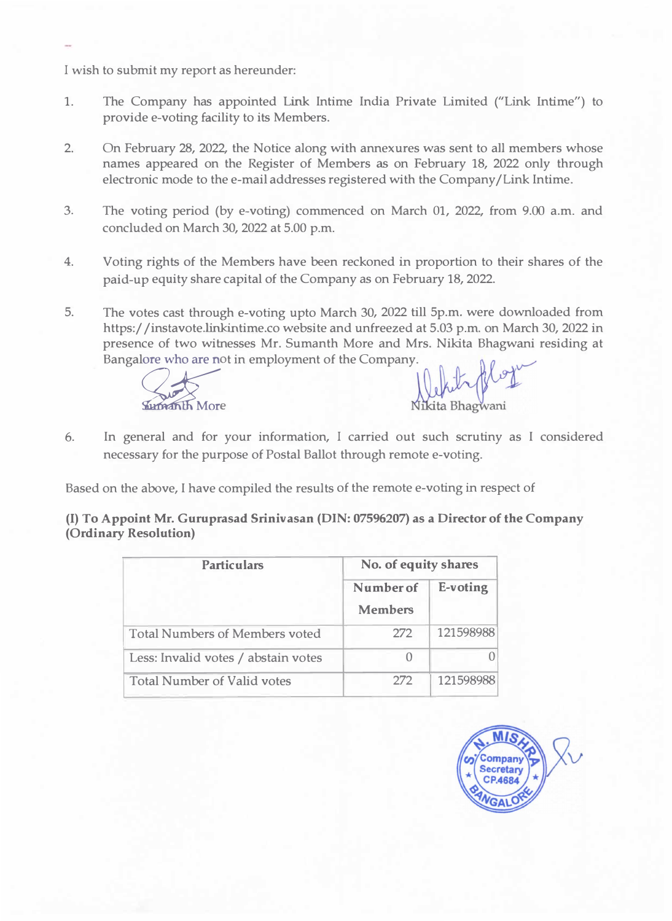I wish to submit my report as hereunder:

- 1. The Company has appointed Link Intime India Private Limited ("Link Intime") to provide e-voting facility to its Members.
- 2. On February 28, 2022, the Notice along with annexures was sent to all members whose names appeared on the Register of Members as on February 18, 2022 only through electronic mode to the e-mail addresses registered with the Company /Link Intime.
- 3. The voting period (by e-voting) commenced on March 01, 2022, from 9.00 a.m. and concluded on March 30, 2022 at 5.00 p.m.
- 4. Voting rights of the Members have been reckoned in proportion to their shares of the paid-up equity share capital of the Company as on February 18, 2022.
- 5. The votes cast through e-voting upto March 30, 2022 till 5p.m. were downloaded from https:/ /instavote.linkintime.co website and unfreezed at 5.03 p.m. on March 30, 2022 in presence of two witnesses Mr. Sumanth More and Mrs. Nikita Bhagwani residing at



6. In general and for your information, I carried out such scrutiny as I considered necessary for the purpose of Postal Ballot through remote e-voting.

Based on the above, I have compiled the results of the remote e-voting in respect of

**(I) To Appoint Mr. Guruprasad Srinivasan (DIN: 07596207) as a Director of the Company (Ordinary Resolution)**

| <b>Particulars</b>                    | No. of equity shares        |           |  |  |
|---------------------------------------|-----------------------------|-----------|--|--|
|                                       | Number of<br><b>Members</b> | E-voting  |  |  |
| <b>Total Numbers of Members voted</b> | 272                         | 121598988 |  |  |
| Less: Invalid votes / abstain votes   | $\bigcap$                   |           |  |  |
| <b>Total Number of Valid votes</b>    | 272                         | 121598988 |  |  |

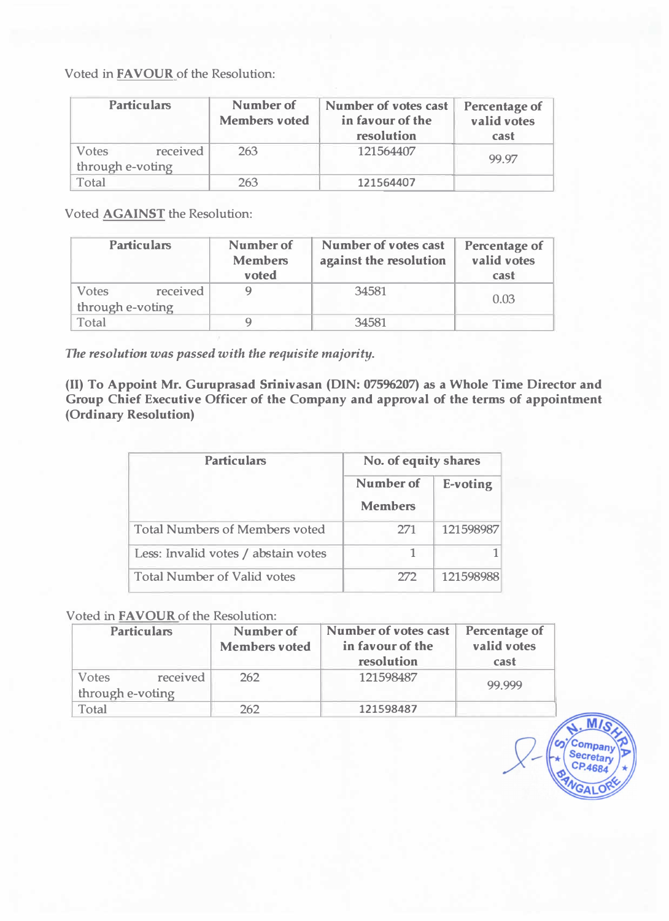Voted **in FAVOUR** of the Resolution:

| <b>Particulars</b>                           | Number of<br><b>Members voted</b> | Number of votes cast<br>in favour of the<br>resolution | Percentage of<br>valid votes<br>cast |
|----------------------------------------------|-----------------------------------|--------------------------------------------------------|--------------------------------------|
| received<br><b>Votes</b><br>through e-voting | 263                               | 121564407                                              | 99.97                                |
| Total                                        | 263                               | 121564407                                              |                                      |

Voted **AGAINST** the Resolution:

| <b>Particulars</b>                    | Number of<br><b>Members</b><br>voted | Number of votes cast<br>against the resolution | <b>Percentage of</b><br>valid votes<br>cast |
|---------------------------------------|--------------------------------------|------------------------------------------------|---------------------------------------------|
| received<br>Votes<br>through e-voting |                                      | 34581                                          | 0.03                                        |
| Total                                 |                                      | 34581                                          |                                             |

*The resolution was passed with the requisite majority.* 

**(II) To Appoint Mr. Guruprasad Srinivasan (DIN: 07596207) as a Whole Time Director and Group Chief Executive Officer of the Company and approval of the terms of appointment (Ordinary Resolution)**

| <b>Particulars</b>                    | No. of equity shares        |           |  |  |
|---------------------------------------|-----------------------------|-----------|--|--|
|                                       | Number of<br><b>Members</b> | E-voting  |  |  |
| <b>Total Numbers of Members voted</b> | 271                         | 121598987 |  |  |
| Less: Invalid votes / abstain votes   |                             |           |  |  |
| <b>Total Number of Valid votes</b>    | 272                         | 121598988 |  |  |

## Voted in **FAVOUR** of the Resolution:

| <b>Particulars</b>                           | Number of<br><b>Members voted</b> | Number of votes cast<br>in favour of the<br>resolution | <b>Percentage of</b><br>valid votes<br>cast |
|----------------------------------------------|-----------------------------------|--------------------------------------------------------|---------------------------------------------|
| received<br><b>Votes</b><br>through e-voting | 262                               | 121598487                                              | 99.999                                      |
| Total                                        | 262                               | 121598487                                              |                                             |

 $M$ Compan Secretary CP.4684  $G_A$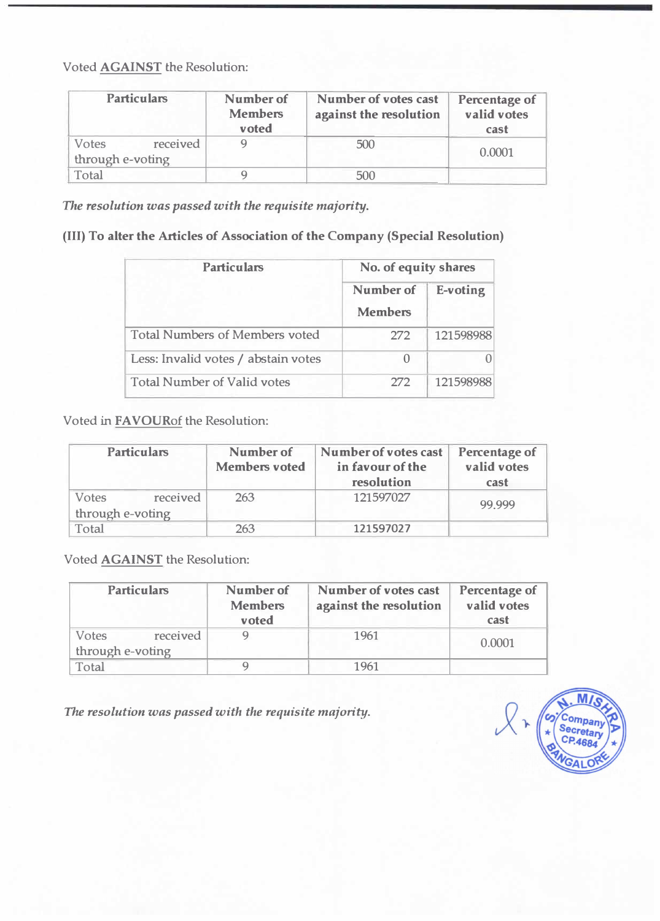Voted **AGAINST** the Resolution:

| <b>Particulars</b>                    | Number of<br><b>Members</b><br>voted | Number of votes cast<br>against the resolution | <b>Percentage of</b><br>valid votes<br>cast |
|---------------------------------------|--------------------------------------|------------------------------------------------|---------------------------------------------|
| Votes<br>received<br>through e-voting |                                      | 500                                            | 0.0001                                      |
| Total                                 |                                      | 500                                            |                                             |

*The resolution was passed with the requisite majority.* 

(III) **To alter the Articles of Association of the Company (Special Resolution)**

| <b>Particulars</b>                    | No. of equity shares        |           |  |  |
|---------------------------------------|-----------------------------|-----------|--|--|
|                                       | Number of<br><b>Members</b> | E-voting  |  |  |
| <b>Total Numbers of Members voted</b> | 272                         | 121598988 |  |  |
| Less: Invalid votes / abstain votes   | $\Omega$                    |           |  |  |
| <b>Total Number of Valid votes</b>    | 272                         | 121598988 |  |  |

Voted **in FAVOURof** the Resolution:

| <b>Particulars</b>                           | Number of<br><b>Members voted</b> | Number of votes cast<br>in favour of the<br>resolution | Percentage of<br>valid votes<br>cast |
|----------------------------------------------|-----------------------------------|--------------------------------------------------------|--------------------------------------|
| received<br><b>Votes</b><br>through e-voting | 263                               | 121597027                                              | 99.999                               |
| Total                                        | 263                               | 121597027                                              |                                      |

Voted **AGAINST** the Resolution:

| <b>Particulars</b>                    | Number of<br><b>Members</b><br>voted | Number of votes cast<br>against the resolution | Percentage of<br>valid votes<br>cast |
|---------------------------------------|--------------------------------------|------------------------------------------------|--------------------------------------|
| received<br>Votes<br>through e-voting |                                      | 1961                                           | 0.0001                               |
| Total                                 |                                      | 1961                                           |                                      |

*The resolution was passed with the requisite majority.* 

 $\sqrt{\frac{2}{3}}$  $\left( \rightarrow \right)$ Secretary<br>CP.4684